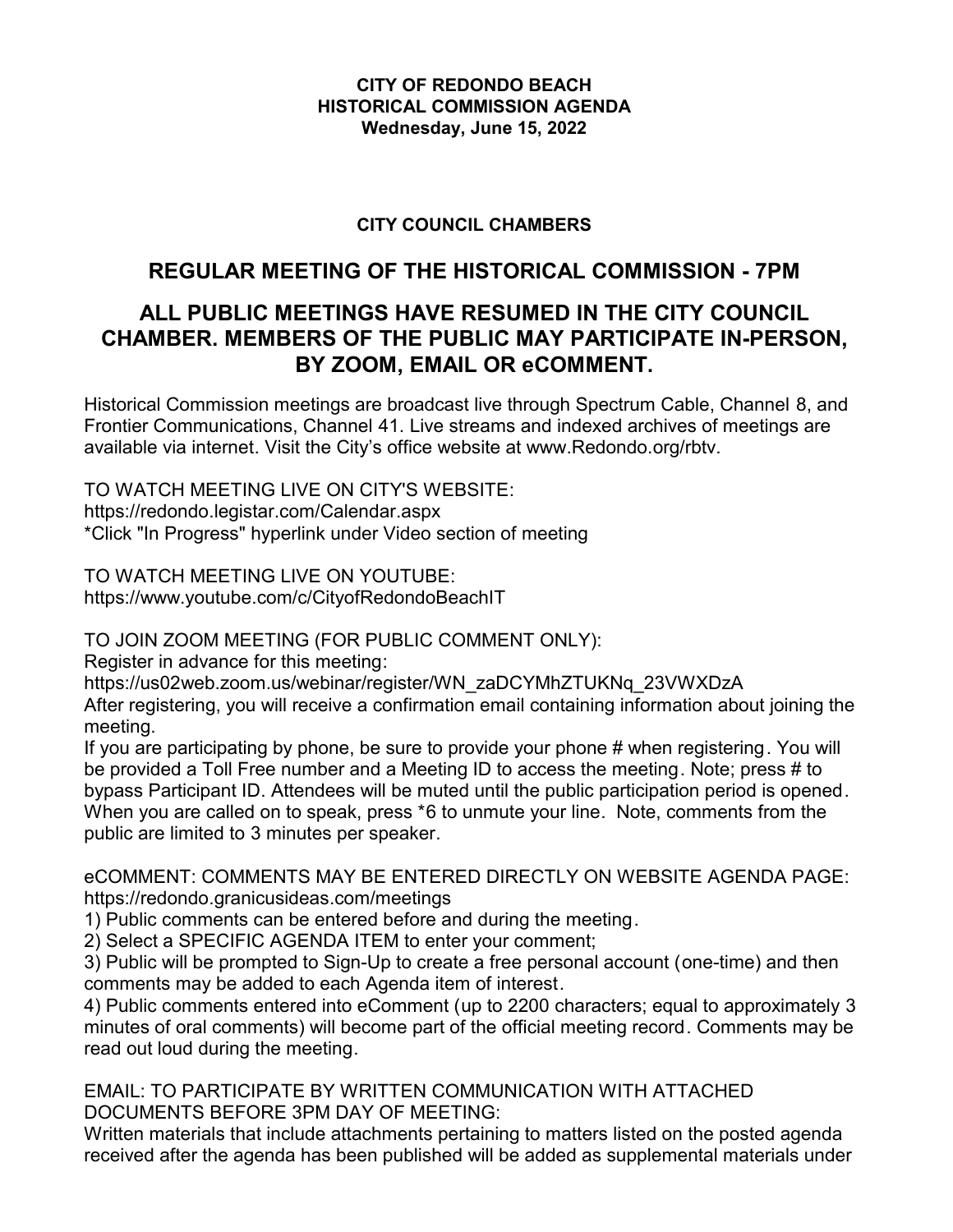#### **CITY OF REDONDO BEACH HISTORICAL COMMISSION AGENDA Wednesday, June 15, 2022**

## **CITY COUNCIL CHAMBERS**

# **REGULAR MEETING OF THE HISTORICAL COMMISSION - 7PM**

# **ALL PUBLIC MEETINGS HAVE RESUMED IN THE CITY COUNCIL CHAMBER. MEMBERS OF THE PUBLIC MAY PARTICIPATE IN-PERSON, BY ZOOM, EMAIL OR eCOMMENT.**

Historical Commission meetings are broadcast live through Spectrum Cable, Channel 8, and Frontier Communications, Channel 41. Live streams and indexed archives of meetings are available via internet. Visit the City's office website at www.Redondo.org/rbtv.

TO WATCH MEETING LIVE ON CITY'S WEBSITE: https://redondo.legistar.com/Calendar.aspx \*Click "In Progress" hyperlink under Video section of meeting

TO WATCH MEETING LIVE ON YOUTUBE: https://www.youtube.com/c/CityofRedondoBeachIT

TO JOIN ZOOM MEETING (FOR PUBLIC COMMENT ONLY):

Register in advance for this meeting:

https://us02web.zoom.us/webinar/register/WN\_zaDCYMhZTUKNq\_23VWXDzA

After registering, you will receive a confirmation email containing information about joining the meeting.

If you are participating by phone, be sure to provide your phone # when registering. You will be provided a Toll Free number and a Meeting ID to access the meeting. Note; press # to bypass Participant ID. Attendees will be muted until the public participation period is opened. When you are called on to speak, press \*6 to unmute your line. Note, comments from the public are limited to 3 minutes per speaker.

eCOMMENT: COMMENTS MAY BE ENTERED DIRECTLY ON WEBSITE AGENDA PAGE: https://redondo.granicusideas.com/meetings

1) Public comments can be entered before and during the meeting.

2) Select a SPECIFIC AGENDA ITEM to enter your comment;

3) Public will be prompted to Sign-Up to create a free personal account (one-time) and then comments may be added to each Agenda item of interest.

4) Public comments entered into eComment (up to 2200 characters; equal to approximately 3 minutes of oral comments) will become part of the official meeting record. Comments may be read out loud during the meeting.

EMAIL: TO PARTICIPATE BY WRITTEN COMMUNICATION WITH ATTACHED DOCUMENTS BEFORE 3PM DAY OF MEETING:

Written materials that include attachments pertaining to matters listed on the posted agenda received after the agenda has been published will be added as supplemental materials under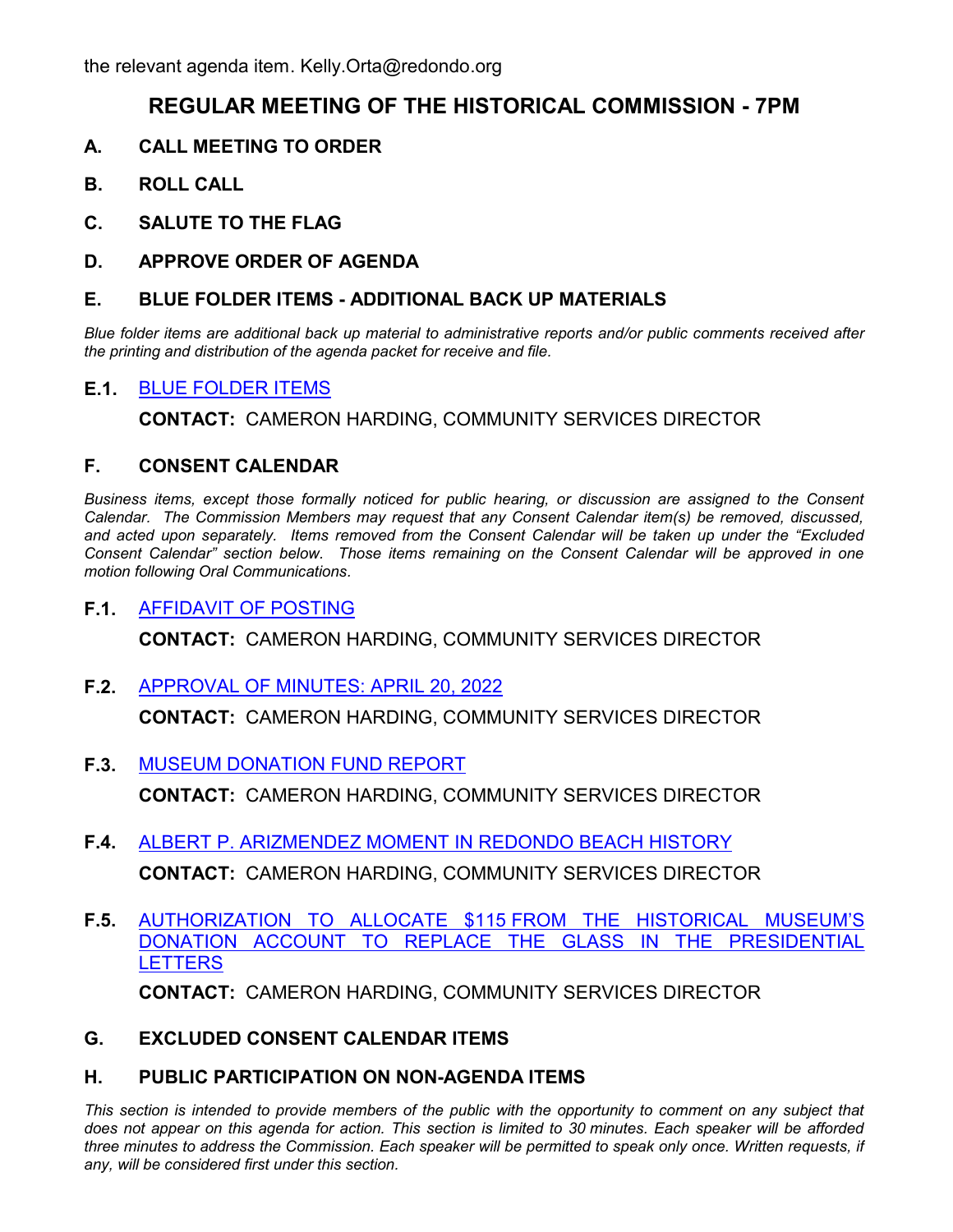# **REGULAR MEETING OF THE HISTORICAL COMMISSION - 7PM**

- **A. CALL MEETING TO ORDER**
- **B. ROLL CALL**
- **C. SALUTE TO THE FLAG**
- **D. APPROVE ORDER OF AGENDA**

#### **E. BLUE FOLDER ITEMS - ADDITIONAL BACK UP MATERIALS**

*Blue folder items are additional back up material to administrative reports and/or public comments received after the printing and distribution of the agenda packet for receive and file.*

### **E.1.** [BLUE FOLDER ITEMS](http://redondo.legistar.com/gateway.aspx?m=l&id=/matter.aspx?key=5840)

**CONTACT:** CAMERON HARDING, COMMUNITY SERVICES DIRECTOR

### **F. CONSENT CALENDAR**

*Business items, except those formally noticed for public hearing, or discussion are assigned to the Consent Calendar. The Commission Members may request that any Consent Calendar item(s) be removed, discussed, and acted upon separately. Items removed from the Consent Calendar will be taken up under the "Excluded Consent Calendar" section below. Those items remaining on the Consent Calendar will be approved in one motion following Oral Communications.*

### **F.1.** [AFFIDAVIT OF POSTING](http://redondo.legistar.com/gateway.aspx?m=l&id=/matter.aspx?key=5843)

**CONTACT:** CAMERON HARDING, COMMUNITY SERVICES DIRECTOR

**F.2.** [APPROVAL OF MINUTES: APRIL 20, 2022](http://redondo.legistar.com/gateway.aspx?m=l&id=/matter.aspx?key=5844)

**CONTACT:** CAMERON HARDING, COMMUNITY SERVICES DIRECTOR

**F.3.** [MUSEUM DONATION FUND REPORT](http://redondo.legistar.com/gateway.aspx?m=l&id=/matter.aspx?key=5848)

**CONTACT:** CAMERON HARDING, COMMUNITY SERVICES DIRECTOR

- **F.4.** [ALBERT P. ARIZMENDEZ MOMENT IN REDONDO BEACH HISTORY](http://redondo.legistar.com/gateway.aspx?m=l&id=/matter.aspx?key=5849) **CONTACT:** CAMERON HARDING, COMMUNITY SERVICES DIRECTOR
- **F.5.** [AUTHORIZATION TO ALLOCATE \\$115 FROM THE HISTORICAL MUSEUM'S](http://redondo.legistar.com/gateway.aspx?m=l&id=/matter.aspx?key=5836) DONATION ACCOUNT TO REPLACE THE GLASS IN THE PRESIDENTIAL **LETTERS CONTACT:** CAMERON HARDING, COMMUNITY SERVICES DIRECTOR

**G. EXCLUDED CONSENT CALENDAR ITEMS**

#### **H. PUBLIC PARTICIPATION ON NON-AGENDA ITEMS**

This section is intended to provide members of the public with the opportunity to comment on any subject that *does not appear on this agenda for action. This section is limited to 30 minutes. Each speaker will be afforded three minutes to address the Commission. Each speaker will be permitted to speak only once. Written requests, if any, will be considered first under this section.*